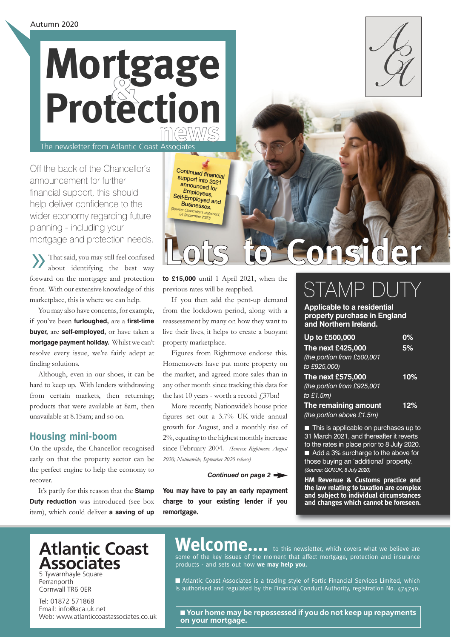# **news & Mortgage Protection** The newsletter from Atlantic Coast Associates

Off the back of the Chancellor's announcement for further financial support, this should help deliver confidence to the wider economy regarding future planning - including your mortgage and protection needs.

»That said, you may still feel confused about identifying the best way forward on the mortgage and protection front. With our extensive knowledge of this marketplace, this is where we can help.

You may also have concerns, for example, if you've been **furloughed,** are a **first-time buyer,** are **self-employed,** or have taken a **mortgage payment holiday.** Whilst we can't resolve every issue, we're fairly adept at finding solutions.

Although, even in our shoes, it can be hard to keep up. With lenders withdrawing from certain markets, then returning; products that were available at 8am, then unavailable at 8.15am; and so on.

## **Housing mini-boom**

On the upside, the Chancellor recognised early on that the property sector can be the perfect engine to help the economy to recover.

It's partly for this reason that the **Stamp Duty reduction** was introduced (see box item), which could deliver **a saving of up** 

Continued financial support into 2021 announced for Employees, Self-Employed and<br>Businesses. Businesses. *(Source: Chancellor's statement, 24 September 2020)*

# **Lots to Consider**

**to £15,000** until 1 April 2021, when the previous rates will be reapplied.

If you then add the pent-up demand from the lockdown period, along with a reassessment by many on how they want to live their lives, it helps to create a buoyant property marketplace.

Figures from Rightmove endorse this. Homemovers have put more property on the market, and agreed more sales than in any other month since tracking this data for the last 10 years - worth a record  $\text{\emph{f}}37\text{bn}!$ 

More recently, Nationwide's house price figures set out a 3.7% UK-wide annual growth for August, and a monthly rise of 2%, equating to the highest monthly increase since February 2004. *(Sources: Rightmove, August 2020; Nationwide, September 2020 release)*

#### *Continued on page 2*

**You may have to pay an early repayment charge to your existing lender if you remortgage.**

# STAM

**Applicable to a residential property purchase in England and Northern Ireland.**

| Up to £500,000               | 0%  |
|------------------------------|-----|
| The next £425,000            | 5%  |
| (the portion from £500,001   |     |
| to £925,000)                 |     |
| The next £575,000            | 10% |
| (the portion from £925,001   |     |
| to $£1.5m)$                  |     |
| The remaining amount         | 12% |
| (the portion above $E1.5m$ ) |     |

■ This is applicable on purchases up to 31 March 2021, and thereafter it reverts to the rates in place prior to 8 July 2020. ■ Add a 3% surcharge to the above for those buying an 'additional' property. *(Source: GOV.UK, 8 July 2020)*

**HM Revenue & Customs practice and the law relating to taxation are complex and subject to individual circumstances and changes which cannot be foreseen.**

## **Atlantic Coast Associates**

5 Tywarnhayle Square Perranporth Cornwall TR6 0ER

Tel: 01872 571868 Email: info@aca.uk.net Web: www.atlanticcoastassociates.co.uk

## Welcome.... to this newsletter, which covers what we believe are

some of the key issues of the moment that affect mortgage, protection and insurance products - and sets out how **we may help you.** 

■ Atlantic Coast Associates is a trading style of Fortic Financial Services Limited, which is authorised and regulated by the Financial Conduct Authority, registration No. 474740.

■ Your home may be repossessed if you do not keep up repayments **on your mortgage.**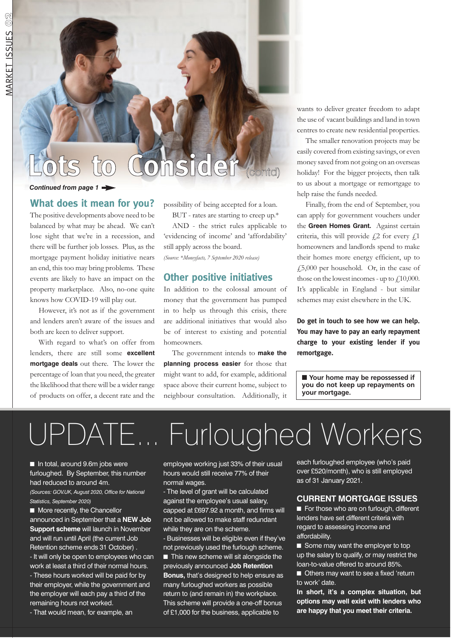# **Lots to Consider** (contd)

#### *Continued from page 1*

## **What does it mean for you?**

The positive developments above need to be balanced by what may be ahead. We can't lose sight that we're in a recession, and there will be further job losses. Plus, as the mortgage payment holiday initiative nears an end, this too may bring problems. These events are likely to have an impact on the property marketplace. Also, no-one quite knows how COVID-19 will play out.

However, it's not as if the government and lenders aren't aware of the issues and both are keen to deliver support.

With regard to what's on offer from lenders, there are still some **excellent mortgage deals** out there. The lower the percentage of loan that you need, the greater the likelihood that there will be a wider range of products on offer, a decent rate and the

possibility of being accepted for a loan.

BUT - rates are starting to creep up.\* AND - the strict rules applicable to

'evidencing of income' and 'affordability' still apply across the board.

*(Source: \*Moneyfacts, 7 September 2020 release)*

## **Other positive initiatives**

In addition to the colossal amount of money that the government has pumped in to help us through this crisis, there are additional initiatives that would also be of interest to existing and potential homeowners.

The government intends to **make the planning process easier** for those that might want to add, for example, additional space above their current home, subject to neighbour consultation. Additionally, it wants to deliver greater freedom to adapt the use of vacant buildings and land in town centres to create new residential properties.

The smaller renovation projects may be easily covered from existing savings, or even money saved from not going on an overseas holiday! For the bigger projects, then talk to us about a mortgage or remortgage to help raise the funds needed.

Finally, from the end of September, you can apply for government vouchers under the **Green Homes Grant.** Against certain criteria, this will provide  $f$ 2 for every  $f$ 1 homeowners and landlords spend to make their homes more energy efficient, up to £5,000 per household. Or, in the case of those on the lowest incomes - up to  $f10,000$ . It's applicable in England - but similar schemes may exist elsewhere in the UK.

**Do get in touch to see how we can help. You may have to pay an early repayment charge to your existing lender if you remortgage.**

■ **Your home may be repossessed if you do not keep up repayments on your mortgage.**

# UPDATE... Furloughed Workers

■ In total, around 9.6m jobs were furloughed. By September, this number had reduced to around 4m.

*(Sources: GOV.UK, August 2020, Office for National Statistics, September 2020)*

■ More recently, the Chancellor announced in September that a **NEW Job Support scheme** will launch in November and will run until April (the current Job Retention scheme ends 31 October) . - It will only be open to employees who can work at least a third of their normal hours. - These hours worked will be paid for by their employer, while the government and the employer will each pay a third of the remaining hours not worked.

- That would mean, for example, an

employee working just 33% of their usual hours would still receive 77% of their normal wages.

- The level of grant will be calculated against the employee's usual salary, capped at £697.92 a month, and firms will not be allowed to make staff redundant while they are on the scheme.

- Businesses will be eligible even if they've not previously used the furlough scheme.

■ This new scheme will sit alongside the previously announced **Job Retention Bonus,** that's designed to help ensure as many furloughed workers as possible return to (and remain in) the workplace. This scheme will provide a one-off bonus of £1,000 for the business, applicable to

each furloughed employee (who's paid over £520/month), who is still employed as of 31 January 2021.

#### **CURRENT MORTGAGE ISSUES**

■ For those who are on furlough, different lenders have set different criteria with regard to assessing income and affordability.

■ Some may want the employer to top up the salary to qualify, or may restrict the loan-to-value offered to around 85%.

■ Others may want to see a fixed 'return to work' date.

**In short, it's a complex situation, but options may well exist with lenders who are happy that you meet their criteria.**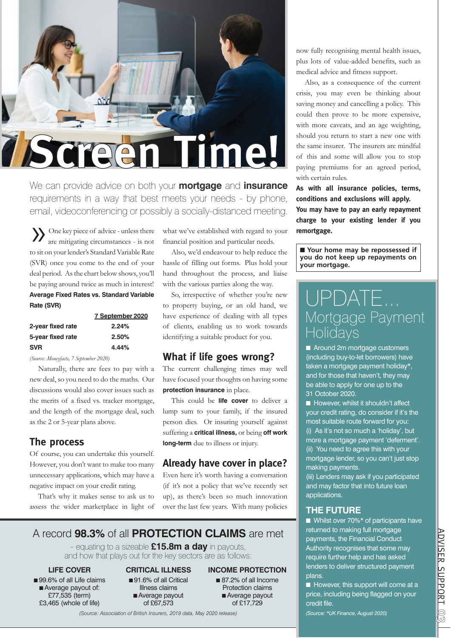

We can provide advice on both your **mortgage** and **insurance** requirements in a way that best meets your needs - by phone, email, videoconferencing or possibly a socially-distanced meeting.

»One key piece of advice - unless there are mitigating circumstances - is not to sit on your lender's Standard Variable Rate (SVR) once you come to the end of your deal period. As the chart below shows, you'll be paying around twice as much in interest! **Average Fixed Rates vs. Standard Variable Rate (SVR)**

|                   | 7 September 2020 |
|-------------------|------------------|
| 2-year fixed rate | 2.24%            |
| 5-year fixed rate | 2.50%            |
| <b>SVR</b>        | 4.44%            |

*(Source: Moneyfacts, 7 September 2020)*

Naturally, there are fees to pay with a new deal, so you need to do the maths. Our discussions would also cover issues such as the merits of a fixed vs. tracker mortgage, and the length of the mortgage deal, such as the 2 or 5-year plans above.

## **The process**

Of course, you can undertake this yourself. However, you don't want to make too many unnecessary applications, which may have a negative impact on your credit rating.

That's why it makes sense to ask us to assess the wider marketplace in light of what we've established with regard to your financial position and particular needs.

Also, we'd endeavour to help reduce the hassle of filling out forms. Plus hold your hand throughout the process, and liaise with the various parties along the way.

So, irrespective of whether you're new to property buying, or an old hand, we have experience of dealing with all types of clients, enabling us to work towards identifying a suitable product for you.

## **What if life goes wrong?**

The current challenging times may well have focused your thoughts on having some **protection insurance** in place.

This could be **life cover** to deliver a lump sum to your family, if the insured person dies. Or insuring yourself against suffering a **critical illness,** or being **off work long-term** due to illness or injury.

## **Already have cover in place?**

Even here it's worth having a conversation (if it's not a policy that we've recently set up), as there's been so much innovation over the last few years. With many policies

## A record **98.3%** of all **PROTECTION CLAIMS** are met

- equating to a sizeable **£15.8m a day** in payouts, and how that plays out for the key sectors are as follows:

### **LIFE COVER**

■ 99.6% of all Life claims ■ Average payout of: £77,535 (term) £3,465 (whole of life)

#### **CRITICAL ILLNESS** ■ 91.6% of all Critical Illness claims ■ Average payout of £67,573

- **INCOME PROTECTION**
	- 87.2% of all Income Protection claims ■ Average payout of £17,729

*(Source: Association of British Insurers, 2019 data, May 2020 release)*

now fully recognising mental health issues, plus lots of value-added benefits, such as medical advice and fitness support.

Also, as a consequence of the current crisis, you may even be thinking about saving money and cancelling a policy. This could then prove to be more expensive, with more caveats, and an age weighting, should you return to start a new one with the same insurer. The insurers are mindful of this and some will allow you to stop paying premiums for an agreed period, with certain rules.

**As with all insurance policies, terms, conditions and exclusions will apply. You may have to pay an early repayment charge to your existing lender if you remortgage.**

■ **Your home may be repossessed if you do not keep up repayments on your mortgage.**

## UPDATE... Mortgage Payment Holidays

■ Around 2m mortgage customers (including buy-to-let borrowers) have taken a mortgage payment holiday\*, and for those that haven't, they may be able to apply for one up to the 31 October 2020.

■ However, whilst it shouldn't affect your credit rating, do consider if it's the most suitable route forward for you: (i) As it's not so much a 'holiday', but more a mortgage payment 'deferment'. (ii) You need to agree this with your mortgage lender, so you can't just stop making payments.

(iii) Lenders may ask if you participated and may factor that into future loan applications.

## **THE FUTURE**

■ Whilst over 70%<sup>\*</sup> of participants have returned to making full mortgage payments, the Financial Conduct Authority recognises that some may require further help and has asked lenders to deliver structured payment plans.

■ However, this support will come at a price, including being flagged on your credit file.

*(Source: \*UK Finance, August 2020)*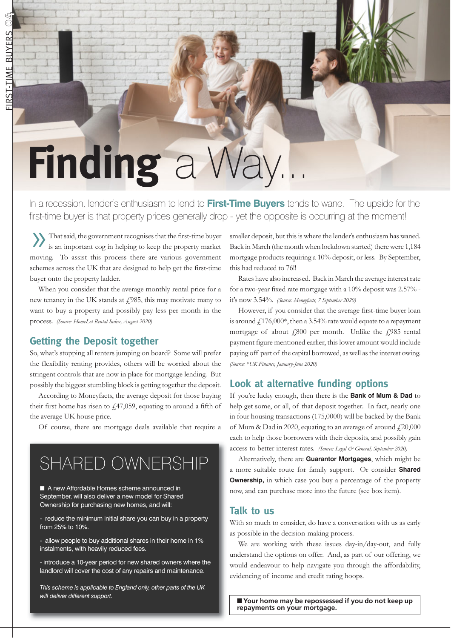**04**

# **Finding** a Way.

In a recession, lender's enthusiasm to lend to **First-Time Buyers** tends to wane. The upside for the first-time buyer is that property prices generally drop - yet the opposite is occurring at the moment!

»That said, the government recognises that the first-time buyer is an important cog in helping to keep the property market moving. To assist this process there are various government schemes across the UK that are designed to help get the first-time buyer onto the property ladder.

When you consider that the average monthly rental price for a new tenancy in the UK stands at £985, this may motivate many to want to buy a property and possibly pay less per month in the process. *(Source: HomeLet Rental Index, August 2020)*

## **Getting the Deposit together**

So, what's stopping all renters jumping on board? Some will prefer the flexibility renting provides, others will be worried about the stringent controls that are now in place for mortgage lending. But possibly the biggest stumbling block is getting together the deposit.

According to Moneyfacts, the average deposit for those buying their first home has risen to  $\frac{1}{4}$ , 47,059, equating to around a fifth of the average UK house price.

Of course, there are mortgage deals available that require a

## SHARED OWNERSHIP

■ A new Affordable Homes scheme announced in September, will also deliver a new model for Shared Ownership for purchasing new homes, and will:

- reduce the minimum initial share you can buy in a property from 25% to 10%.

- allow people to buy additional shares in their home in 1% instalments, with heavily reduced fees.

- introduce a 10-year period for new shared owners where the landlord will cover the cost of any repairs and maintenance.

*This scheme is applicable to England only, other parts of the UK will deliver different support.* ■ **Your home may be repossessed if you do not keep up**

smaller deposit, but this is where the lender's enthusiasm has waned. Back in March (the month when lockdown started) there were 1,184 mortgage products requiring a 10% deposit, or less. By September, this had reduced to 76!!

Rates have also increased. Back in March the average interest rate for a two-year fixed rate mortgage with a 10% deposit was 2.57% it's now 3.54%. *(Source: Moneyfacts, 7 September 2020)*

However, if you consider that the average first-time buyer loan is around  $f176,000^*$ , then a 3.54% rate would equate to a repayment mortgage of about  $f_1800$  per month. Unlike the  $f_1985$  rental payment figure mentioned earlier, this lower amount would include paying off part of the capital borrowed, as well as the interest owing. *(Source: \*UK Finance, January-June 2020)*

## **Look at alternative funding options**

If you're lucky enough, then there is the **Bank of Mum & Dad** to help get some, or all, of that deposit together. In fact, nearly one in four housing transactions (175,0000) will be backed by the Bank of Mum & Dad in 2020, equating to an average of around  $f(20,000)$ each to help those borrowers with their deposits, and possibly gain access to better interest rates. *(Source: Legal & General, September 2020)*

Alternatively, there are **Guarantor Mortgages**, which might be a more suitable route for family support. Or consider **Shared Ownership,** in which case you buy a percentage of the property now, and can purchase more into the future (see box item).

## **Talk to us**

With so much to consider, do have a conversation with us as early as possible in the decision-making process.

We are working with these issues day-in/day-out, and fully understand the options on offer. And, as part of our offering, we would endeavour to help navigate you through the affordability, evidencing of income and credit rating hoops.

**repayments on your mortgage.**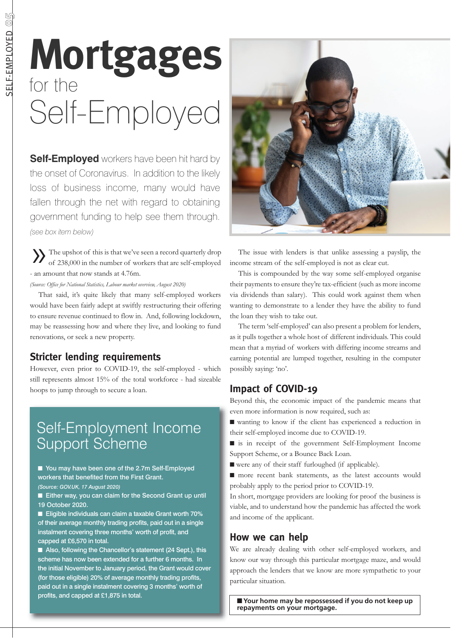# **Mortgages** for the Self-Employed

**Self-Employed** workers have been hit hard by the onset of Coronavirus. In addition to the likely loss of business income, many would have fallen through the net with regard to obtaining government funding to help see them through. *(see box item below)*

»The upshot of this is that we've seen a record quarterly drop of 238,000 in the number of workers that are self-employed - an amount that now stands at 4.76m.

*(Source: Office for National Statistics, Labour market overview, August 2020)*

That said, it's quite likely that many self-employed workers would have been fairly adept at swiftly restructuring their offering to ensure revenue continued to flow in. And, following lockdown, may be reassessing how and where they live, and looking to fund renovations, or seek a new property.

## **Stricter lending requirements**

However, even prior to COVID-19, the self-employed - which still represents almost 15% of the total workforce - had sizeable hoops to jump through to secure a loan.

## Self-Employment Income Support Scheme

■ You may have been one of the 2.7m Self-Employed workers that benefited from the First Grant. *(Source: GOV.UK, 17 August 2020)*

■ Either way, you can claim for the Second Grant up until 19 October 2020.

■ Eligible individuals can claim a taxable Grant worth 70% of their average monthly trading profits, paid out in a single instalment covering three months' worth of profit, and capped at £6,570 in total.

■ Also, following the Chancellor's statement (24 Sept.), this scheme has now been extended for a further 6 months. In the initial November to January period, the Grant would cover (for those eligible) 20% of average monthly trading profits, paid out in a single instalment covering 3 months' worth of profits, and capped at £1,875 in total.



The issue with lenders is that unlike assessing a payslip, the income stream of the self-employed is not as clear cut.

This is compounded by the way some self-employed organise their payments to ensure they're tax-efficient (such as more income via dividends than salary). This could work against them when wanting to demonstrate to a lender they have the ability to fund the loan they wish to take out.

The term 'self-employed' can also present a problem for lenders, as it pulls together a whole host of different individuals. This could mean that a myriad of workers with differing income streams and earning potential are lumped together, resulting in the computer possibly saying: 'no'.

## **Impact of COVID-19**

Beyond this, the economic impact of the pandemic means that even more information is now required, such as:

■ wanting to know if the client has experienced a reduction in their self-employed income due to COVID-19.

■ is in receipt of the government Self-Employment Income Support Scheme, or a Bounce Back Loan.

- were any of their staff furloughed (if applicable).
- more recent bank statements, as the latest accounts would probably apply to the period prior to COVID-19.

In short, mortgage providers are looking for proof the business is viable, and to understand how the pandemic has affected the work and income of the applicant.

## **How we can help**

We are already dealing with other self-employed workers, and know our way through this particular mortgage maze, and would approach the lenders that we know are more sympathetic to your particular situation.

■ Your home may be repossessed if you do not keep up **repayments on your mortgage.**